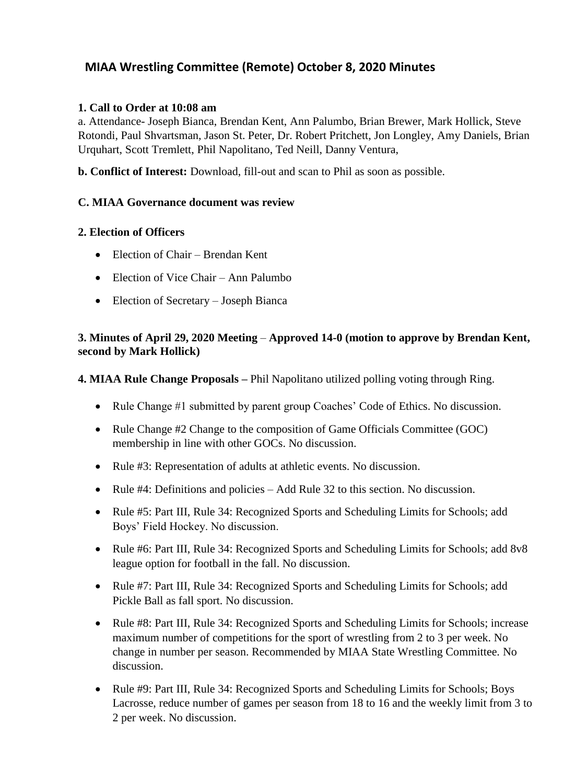# **MIAA Wrestling Committee (Remote) October 8, 2020 Minutes**

### **1. Call to Order at 10:08 am**

a. Attendance- Joseph Bianca, Brendan Kent, Ann Palumbo, Brian Brewer, Mark Hollick, Steve Rotondi, Paul Shvartsman, Jason St. Peter, Dr. Robert Pritchett, Jon Longley, Amy Daniels, Brian Urquhart, Scott Tremlett, Phil Napolitano, Ted Neill, Danny Ventura,

**b. Conflict of Interest:** Download, fill-out and scan to Phil as soon as possible.

### **C. MIAA Governance document was review**

### **2. Election of Officers**

- Election of Chair Brendan Kent
- Election of Vice Chair Ann Palumbo
- Election of Secretary Joseph Bianca

### **3. Minutes of April 29, 2020 Meeting** – **Approved 14-0 (motion to approve by Brendan Kent, second by Mark Hollick)**

**4. MIAA Rule Change Proposals –** Phil Napolitano utilized polling voting through Ring.

- Rule Change #1 submitted by parent group Coaches' Code of Ethics. No discussion.
- Rule Change #2 Change to the composition of Game Officials Committee (GOC) membership in line with other GOCs. No discussion.
- Rule #3: Representation of adults at athletic events. No discussion.
- Rule #4: Definitions and policies Add Rule 32 to this section. No discussion.
- Rule #5: Part III, Rule 34: Recognized Sports and Scheduling Limits for Schools; add Boys' Field Hockey. No discussion.
- Rule #6: Part III, Rule 34: Recognized Sports and Scheduling Limits for Schools; add 8v8 league option for football in the fall. No discussion.
- Rule #7: Part III, Rule 34: Recognized Sports and Scheduling Limits for Schools; add Pickle Ball as fall sport. No discussion.
- Rule #8: Part III, Rule 34: Recognized Sports and Scheduling Limits for Schools; increase maximum number of competitions for the sport of wrestling from 2 to 3 per week. No change in number per season. Recommended by MIAA State Wrestling Committee. No discussion.
- Rule #9: Part III, Rule 34: Recognized Sports and Scheduling Limits for Schools; Boys Lacrosse, reduce number of games per season from 18 to 16 and the weekly limit from 3 to 2 per week. No discussion.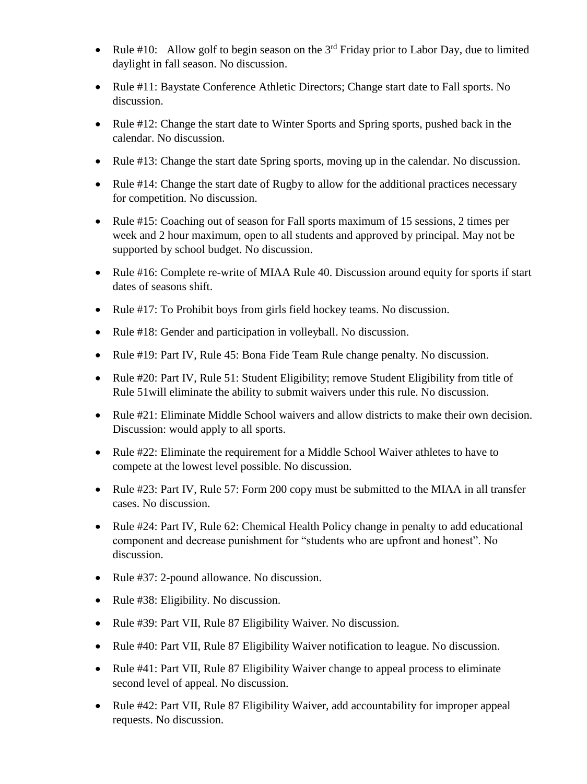- Rule #10: Allow golf to begin season on the  $3<sup>rd</sup>$  Friday prior to Labor Day, due to limited daylight in fall season. No discussion.
- Rule #11: Baystate Conference Athletic Directors; Change start date to Fall sports. No discussion.
- Rule #12: Change the start date to Winter Sports and Spring sports, pushed back in the calendar. No discussion.
- Rule #13: Change the start date Spring sports, moving up in the calendar. No discussion.
- Rule #14: Change the start date of Rugby to allow for the additional practices necessary for competition. No discussion.
- Rule #15: Coaching out of season for Fall sports maximum of 15 sessions, 2 times per week and 2 hour maximum, open to all students and approved by principal. May not be supported by school budget. No discussion.
- Rule #16: Complete re-write of MIAA Rule 40. Discussion around equity for sports if start dates of seasons shift.
- Rule #17: To Prohibit boys from girls field hockey teams. No discussion.
- Rule #18: Gender and participation in volleyball. No discussion.
- Rule #19: Part IV, Rule 45: Bona Fide Team Rule change penalty. No discussion.
- Rule #20: Part IV, Rule 51: Student Eligibility; remove Student Eligibility from title of Rule 51will eliminate the ability to submit waivers under this rule. No discussion.
- Rule #21: Eliminate Middle School waivers and allow districts to make their own decision. Discussion: would apply to all sports.
- Rule #22: Eliminate the requirement for a Middle School Waiver athletes to have to compete at the lowest level possible. No discussion.
- Rule #23: Part IV, Rule 57: Form 200 copy must be submitted to the MIAA in all transfer cases. No discussion.
- Rule #24: Part IV, Rule 62: Chemical Health Policy change in penalty to add educational component and decrease punishment for "students who are upfront and honest". No discussion.
- Rule #37: 2-pound allowance. No discussion.
- Rule #38: Eligibility. No discussion.
- Rule #39: Part VII, Rule 87 Eligibility Waiver. No discussion.
- Rule #40: Part VII, Rule 87 Eligibility Waiver notification to league. No discussion.
- Rule #41: Part VII, Rule 87 Eligibility Waiver change to appeal process to eliminate second level of appeal. No discussion.
- Rule #42: Part VII, Rule 87 Eligibility Waiver, add accountability for improper appeal requests. No discussion.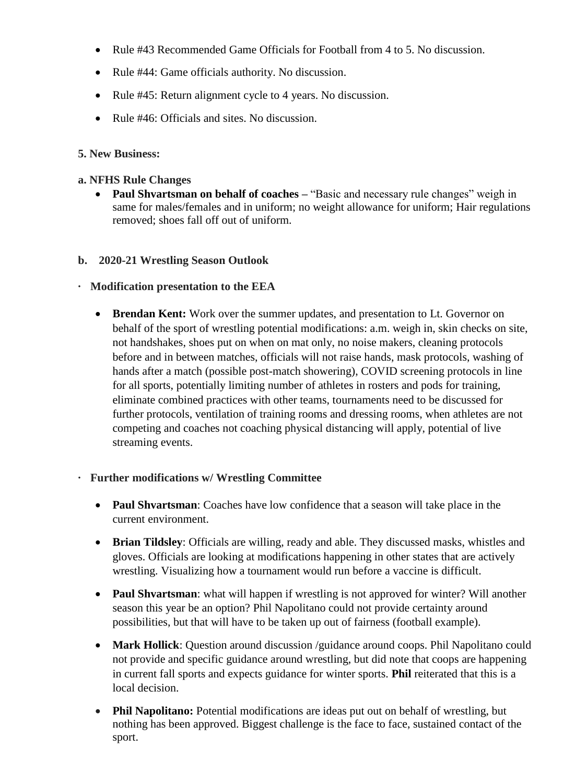- Rule #43 Recommended Game Officials for Football from 4 to 5. No discussion.
- Rule #44: Game officials authority. No discussion.
- Rule #45: Return alignment cycle to 4 years. No discussion.
- Rule #46: Officials and sites. No discussion.

## **5. New Business:**

### **a. NFHS Rule Changes**

 **Paul Shvartsman on behalf of coaches –** "Basic and necessary rule changes" weigh in same for males/females and in uniform; no weight allowance for uniform; Hair regulations removed; shoes fall off out of uniform.

### **b. 2020-21 Wrestling Season Outlook**

# **· Modification presentation to the EEA**

 **Brendan Kent:** Work over the summer updates, and presentation to Lt. Governor on behalf of the sport of wrestling potential modifications: a.m. weigh in, skin checks on site, not handshakes, shoes put on when on mat only, no noise makers, cleaning protocols before and in between matches, officials will not raise hands, mask protocols, washing of hands after a match (possible post-match showering), COVID screening protocols in line for all sports, potentially limiting number of athletes in rosters and pods for training, eliminate combined practices with other teams, tournaments need to be discussed for further protocols, ventilation of training rooms and dressing rooms, when athletes are not competing and coaches not coaching physical distancing will apply, potential of live streaming events.

# **· Further modifications w/ Wrestling Committee**

- **Paul Shvartsman**: Coaches have low confidence that a season will take place in the current environment.
- **Brian Tildsley**: Officials are willing, ready and able. They discussed masks, whistles and gloves. Officials are looking at modifications happening in other states that are actively wrestling. Visualizing how a tournament would run before a vaccine is difficult.
- **Paul Shvartsman**: what will happen if wrestling is not approved for winter? Will another season this year be an option? Phil Napolitano could not provide certainty around possibilities, but that will have to be taken up out of fairness (football example).
- **Mark Hollick**: Question around discussion /guidance around coops. Phil Napolitano could not provide and specific guidance around wrestling, but did note that coops are happening in current fall sports and expects guidance for winter sports. **Phil** reiterated that this is a local decision.
- **Phil Napolitano:** Potential modifications are ideas put out on behalf of wrestling, but nothing has been approved. Biggest challenge is the face to face, sustained contact of the sport.